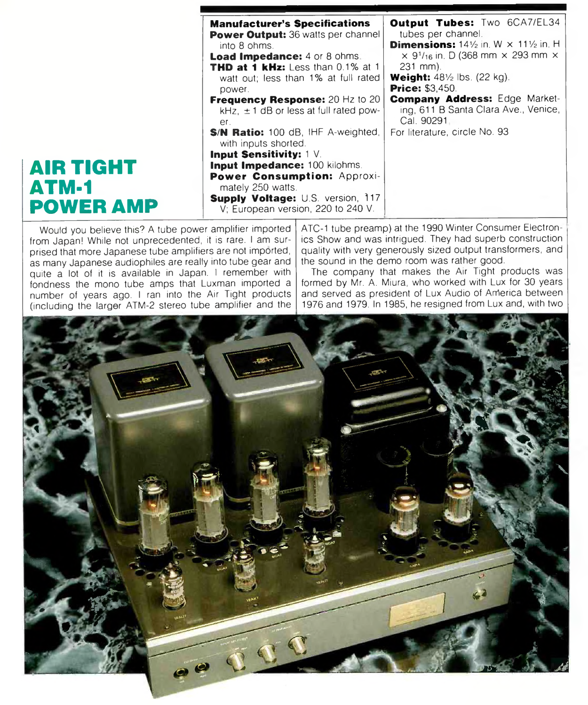|                                                      | <b>Manufacturer's Specifications</b><br>Power Output: 36 watts per channel<br>into 8 ohms.<br><b>Load Impedance:</b> 4 or 8 ohms.<br><b>THD at 1 kHz:</b> Less than $0.1\%$ at 1<br>watt out; less than 1% at full rated<br>power.<br><b>Frequency Response: 20 Hz to 20</b><br>kHz, $\pm$ 1 dB or less at full rated pow-<br>$er_{-}$<br>S/N Ratio: 100 dB, IHF A-weighted,<br>with inputs shorted. | <b>Output Tubes:</b> Two 6CA7/EL34<br>tubes per channel.<br><b>Dimensions:</b> $14\frac{1}{2}$ in. W $\times$ 11 $\frac{1}{2}$ in. H<br>$\times$ 9 <sup>1</sup> / <sub>16</sub> in. D (368 mm $\times$ 293 mm $\times$<br>$231$ mm).<br><b>Weight:</b> $48\frac{1}{2}$ lbs. (22 kg).<br><b>Price: \$3,450.</b><br><b>Company Address: Edge Market-</b><br>ing, 611 B Santa Clara Ave., Venice,<br>Cal. 90291.<br>For literature, circle No. 93 |
|------------------------------------------------------|------------------------------------------------------------------------------------------------------------------------------------------------------------------------------------------------------------------------------------------------------------------------------------------------------------------------------------------------------------------------------------------------------|------------------------------------------------------------------------------------------------------------------------------------------------------------------------------------------------------------------------------------------------------------------------------------------------------------------------------------------------------------------------------------------------------------------------------------------------|
| <b>AIR TIGHT</b><br><b>ATM-1</b><br><b>POWER AMP</b> | <b>Input Sensitivity:</b> 1 V.<br><b>Input Impedance: 100 kilohms.</b><br>Power Consumption: Approxi-<br>mately 250 watts.<br>Supply Voltage: U.S. version, 117<br>V; European version, 220 to 240 V.                                                                                                                                                                                                |                                                                                                                                                                                                                                                                                                                                                                                                                                                |

Would you believe this? A tube power amplifier imported from Japan! While not unprecedented, it is rare. I am surprised that more Japanese tube amplifiers are not imported, as many Japanese audiophiles are really into tube gear and quite a lot of it is available in Japan. I remember with fondness the mono tube amps that Luxman imported a number of years ago. I ran into the Air Tight products (including the larger ATM-2 stereo tube amplifier and the ATC-1 tube preamp) at the 1990 Winter Consumer Electronics Show and was intrigued. They had superb construction quality with very generously sized output transformers, and the sound in the demo room was rather good.

The company that makes the Air Tight products was formed by Mr. A. Miura, who worked with Lux for 30 years and served as president of Lux Audio of Arherica between 1976 and 1979. In 1985, he resigned from Lux and, with two

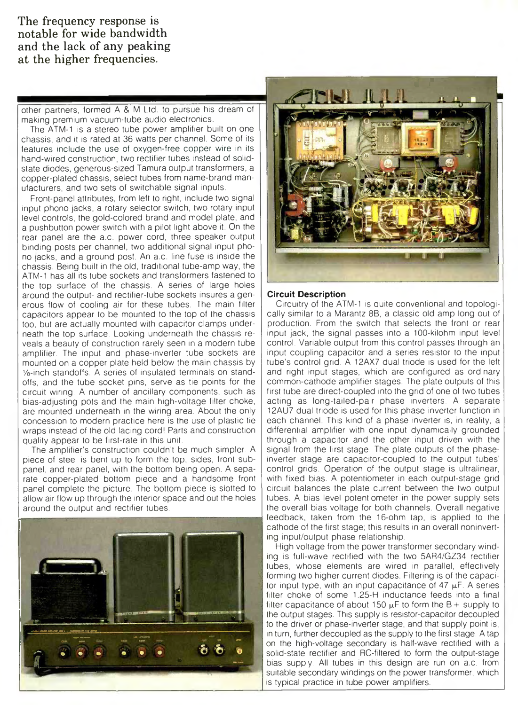**The frequency response is notable for wide bandwidth and the lack of any peaking at the higher frequencies.**

other partners, formed A & M Ltd. to pursue his dream of making premium vacuum-tube audio electronics.

The ATM-1 is a stereo tube power amplifier built on one chassis, and it is rated at 36 watts per channel. Some of its features include the use of oxygen-free copper wire in its hand-wired construction, two rectifier tubes instead of solidstate diodes, generous-sized Tamura output transformers, a copper-plated chassis, select tubes from name-brand manufacturers, and two sets of switchable signal inputs.

Front-panel attributes, from left to right, include two signal input phono jacks, a rotary selector switch, two rotary input level controls, the gold-colored brand and model plate, and a pushbutton power switch with a pilot light above it. On the rear panel are the a.c. power cord, three speaker output binding posts per channel, two additional signal input phono jacks, and a ground post. An a.c. line fuse is inside the chassis. Being built in the old, traditional tube-amp way, the ATM-1 has all its tube sockets and transformers fastened to the top surface of the chassis. A series of large holes around the output- and rectifier-tube sockets insures a generous flow of cooling air for these tubes. The main filter capacitors appear to be mounted to the top of the chassis too, but are actually mounted with capacitor clamps underneath the top surface. Looking underneath the chassis reveals a beauty of construction rarely seen in a modern tube amplifier. The input and phase-inverter tube sockets are mounted on a copper plate held below the main chassis by 1/e-inch standoffs. A series of insulated terminals on standoffs, and the tube socket pins, serve as tie points for the circuit wiring. A number of ancillary components, such as bias-adjusting pots and the main high-voltage filter choke, are mounted underneath in the wiring area. About the only concession to modern practice here is the use of plastic tie wraps instead of the old lacing cord! Parts and construction quality appear to be first-rate in this unit.

The amplifier's construction couldn't be much simpler. A piece of steel is bent up to form the top, sides, front subpanel, and rear panel, with the bottom being open. A separate copper-plated bottom piece and a handsome front panel complete the picture. The bottom piece is slotted to allow air flow up through the interior space and out the holes around the output and rectifier tubes.





## **Circuit Description**

Circuitry of the ATM-1 is quite conventional and topologically similar to a Marantz 8B, a classic old amp long out of production. From the switch that selects the front or rear input jack, the signal passes into a 100-kilohm input level control. Variable output from this control passes through an input coupling capacitor and a series resistor to the input tube's control grid. A 12AX7 dual triode is used for the left and right input stages, which are configured as ordinary common-cathode amplifier stages. The plate outputs of this first tube are direct-coupled into the grid of one of two tubes acting as long-tailed-pair phase inverters. A separate 12AU7 dual triode is used for this phase-inverter function in each channel. This kind of a phase inverter is, in reality, a differential amplifier with one input dynamically grounded through a capacitor and the other input driven with the signal from the first stage. The plate outputs of the phaseinverter stage are capacitor-coupled to the output tubes' control grids. Operation of the output stage is ultralinear, with fixed bias. A potentiometer in each output-stage grid circuit balances the plate current between the two output tubes. A bias level potentiometer in the power supply sets the overall bias voltage for both channels. Overall negative feedback, taken from the 16-ohm tap, is applied to the cathode of the first stage; this results in an overall noninverting input/output phase relationship.

High voltage from the power transformer secondary winding is full-wave rectified with the two 5AR4/GZ34 rectifier tubes, whose elements are wired in parallel, effectively forming two higher current diodes. Filtering is of the capacitor input type, with an input capacitance of  $47 \mu F$ . A series filter choke of some 1.25-H inductance feeds into a final filter capacitance of about 150  $\mu$ F to form the B + supply to the output stages. This supply is resistor-capacitor decoupled to the driver or phase-inverter stage, and that supply point is, in turn, further decoupled as the supply to the first stage. A tap on the high-voltage secondary is half-wave rectified with a solid-state rectifier and RC-filtered to form the output-stage bias supply. All tubes in this design are run on a.c. from suitable secondary windings on the power transformer, which is typical practice in tube power amplifiers.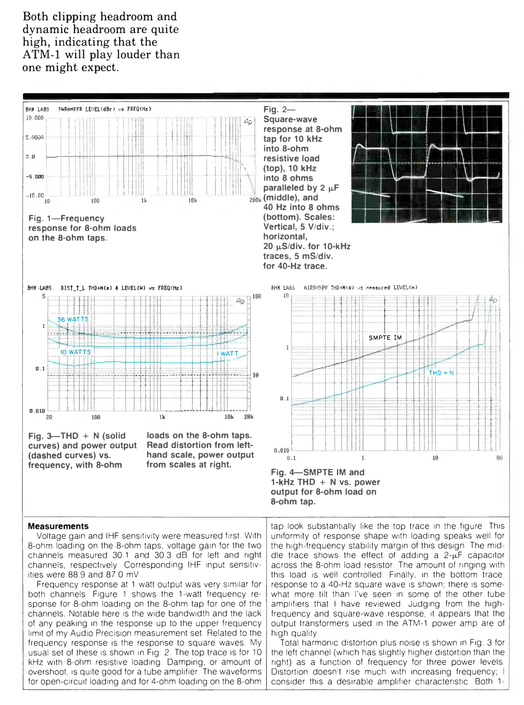**Both clipping headroom and dynamic headroom are quite high, indicating that the ATM-1 will play louder than one might expect.**



8-ohm loading on the 8-ohm taps, voltage gain for the two channels measured 30.1 and 30.3 dB for left and right channels, respectively. Corresponding IHF input sensitivities were 88.9 and 87.0 mV.

Frequency response at 1 watt output was very similar for both channels. Figure 1 shows the 1-watt frequency response for 8-ohm loading on the 8-ohm tap for one of the channels. Notable here is the wide bandwidth and the lack of any peaking in the response up to the upper frequency limit of my Audio Precision measurement set. Related to the frequency response is the response to square waves. My usual set of these is shown in Fig. 2. The top trace is for 10 kHz with 8-ohm resistive loading. Damping, or amount of overshoot, is quite good for a tube amplifier. The waveforms for open-circuit loading and for 4-ohm loading on the 8-ohm

the high-frequency stability margin of this design. The middle trace shows the effect of adding a  $2-\mu F$  capacitor across the 8-ohm load resistor. The amount of ringing with this load is well controlled. Finally, in the bottom trace, response to a 40-Hz square wave is shown; there is somewhat more tilt than I've seen in some of the other tube amplifiers that I have reviewed. Judging from the highfrequency and square-wave response, it appears that the output transformers used in the ATM-1 power amp are of high quality.

Total harmonic distortion plus noise is shown in Fig. 3 for the left channel (which has slightly higher distortion than the right) as a function of frequency for three power levels. Distortion doesn't rise much with increasing frequency; I consider this a desirable amplifier characteristic. Both 1-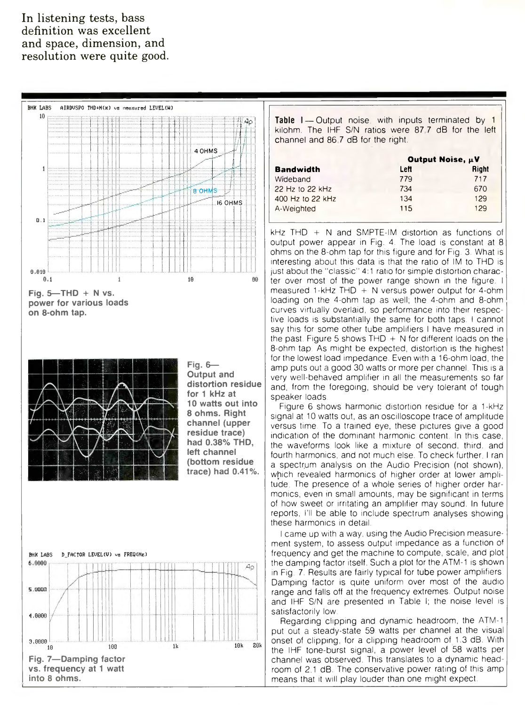## **In listening tests, bass definition was excellent and space, dimension, and resolution were quite good.**





**Fig. 6-Output and distortion residue for 1 kHz at 10 watts out into 8 ohms. Right channel(upper residue trace) had 0.38% THD, left channel (bottom residue trace) had 0.41%.**



Table I-Output noise, with inputs terminated by 1 kilohm. The IHF S/N ratios were 87 7 dB for the left channel and 86 7 dB for the right.

|                  | Output Noise, $\mu$ V |       |
|------------------|-----------------------|-------|
| <b>Bandwidth</b> | Left                  | Right |
| Wideband         | 779                   | 717   |
| 22 Hz to 22 kHz  | 734                   | 670   |
| 400 Hz to 22 kHz | 134                   | 129   |
| A-Weighted       | 115                   | 129   |

 $kHz$  THD  $+$  N and SMPTE-IM distortion as functions of output power appear in Fig. 4. The load is constant at 8 ohms on the 8-ohm tap for this figure and for Fig. 3. What is interesting about this data is that the ratio of IM to THD is just about the "classic" 4:1 ratio for simple distortion character over most of the power range shown in the figure. I measured 1-kHz THD  $+$  N versus power output for 4-ohm loading on the 4-ohm tap as well; the 4-ohm and 8-ohm curves virtually overlaid, so performance into their respective loads is substantially the same for both taps. I cannot say this for some other tube amplifiers I have measured in the past. Figure 5 shows THD  $+$  N for different loads on the 8-ohm tap. As might be expected, distortion is the highest for the lowest load impedance. Even with a 16-ohm load, the amp puts out a good 30 watts or more per channel. This is a very well-behaved amplifier in all the measurements so far and, from the foregoing, should be very tolerant of tough speaker loads.

Figure 6 shows harmonic distortion residue for a 1-kHz signal at 10 watts out, as an oscilloscope trace of amplitude versus time. To a trained eye, these pictures give a good indication of the dominant harmonic content. In this case, the waveforms look like a mixture of second, third, and fourth harmonics, and not much else. To check further, I ran a spectrum analysis on the Audio Precision (not shown), which revealed harmonics of higher order at lower amplitude. The presence of a whole series of higher order harmonics, even in small amounts, may be significant in terms of how sweet or irritating an amplifier may sound. In future reports, I'll be able to include spectrum analyses showing these harmonics in detail.

I came up with a way, using the Audio Precision measurement system, to assess output impedance as a function of frequency and get the machine to compute, scale, and plot the damping factor itself. Such a plot for the ATM-1 is shown in Fig. 7. Results are fairly typical for tube power amplifiers. Damping factor is quite uniform over most of the audio range and falls off at the frequency extremes. Output noise and IHF S/N are presented in Table I; the noise level is satisfactorily low.

Regarding clipping and dynamic headroom, the ATM-1 put out a steady-state 59 watts per channel at the visual onset of clipping, for a clipping headroom of 1.3 dB. With the IHF tone-burst signal, a power level of 58 watts per channel was observed. This translates to a dynamic headroom of 2.1 dB. The conservative power rating of this amp means that it will play louder than one might expect.